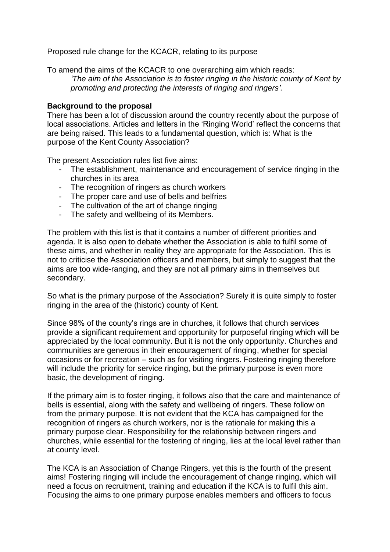Proposed rule change for the KCACR, relating to its purpose

To amend the aims of the KCACR to one overarching aim which reads:

*'The aim of the Association is to foster ringing in the historic county of Kent by promoting and protecting the interests of ringing and ringers'.*

## **Background to the proposal**

There has been a lot of discussion around the country recently about the purpose of local associations. Articles and letters in the 'Ringing World' reflect the concerns that are being raised. This leads to a fundamental question, which is: What is the purpose of the Kent County Association?

The present Association rules list five aims:

- The establishment, maintenance and encouragement of service ringing in the churches in its area
- The recognition of ringers as church workers
- The proper care and use of bells and belfries
- The cultivation of the art of change ringing
- The safety and wellbeing of its Members.

The problem with this list is that it contains a number of different priorities and agenda. It is also open to debate whether the Association is able to fulfil some of these aims, and whether in reality they are appropriate for the Association. This is not to criticise the Association officers and members, but simply to suggest that the aims are too wide-ranging, and they are not all primary aims in themselves but secondary.

So what is the primary purpose of the Association? Surely it is quite simply to foster ringing in the area of the (historic) county of Kent.

Since 98% of the county's rings are in churches, it follows that church services provide a significant requirement and opportunity for purposeful ringing which will be appreciated by the local community. But it is not the only opportunity. Churches and communities are generous in their encouragement of ringing, whether for special occasions or for recreation – such as for visiting ringers. Fostering ringing therefore will include the priority for service ringing, but the primary purpose is even more basic, the development of ringing.

If the primary aim is to foster ringing, it follows also that the care and maintenance of bells is essential, along with the safety and wellbeing of ringers. These follow on from the primary purpose. It is not evident that the KCA has campaigned for the recognition of ringers as church workers, nor is the rationale for making this a primary purpose clear. Responsibility for the relationship between ringers and churches, while essential for the fostering of ringing, lies at the local level rather than at county level.

The KCA is an Association of Change Ringers, yet this is the fourth of the present aims! Fostering ringing will include the encouragement of change ringing, which will need a focus on recruitment, training and education if the KCA is to fulfil this aim. Focusing the aims to one primary purpose enables members and officers to focus